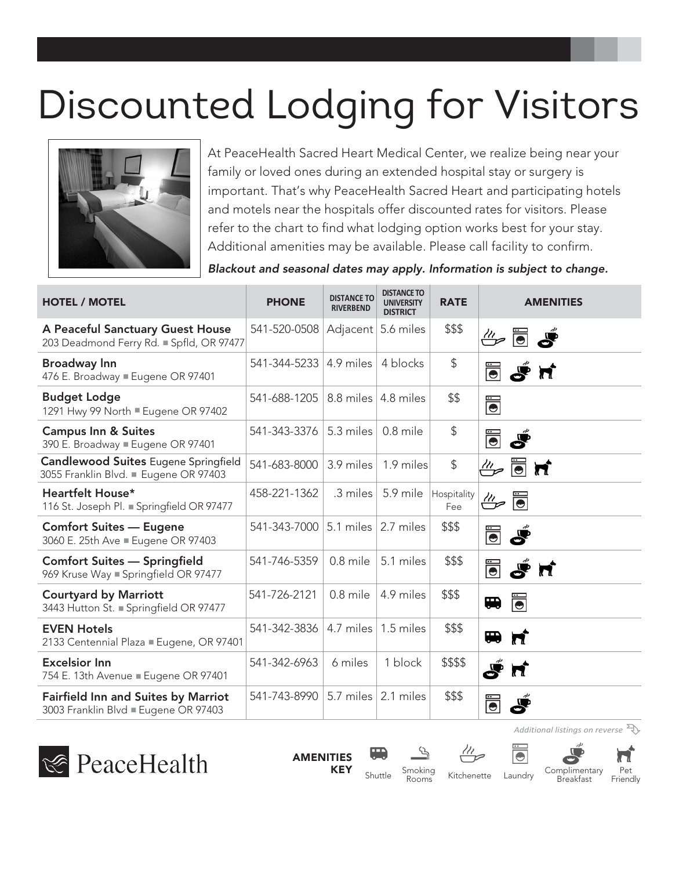## Discounted Lodging for Visitors



At PeaceHealth Sacred Heart Medical Center, we realize being near your family or loved ones during an extended hospital stay or surgery is important. That's why PeaceHealth Sacred Heart and participating hotels and motels near the hospitals offer discounted rates for visitors. Please refer to the chart to find what lodging option works best for your stay. Additional amenities may be available. Please call facility to confirm.

*Blackout and seasonal dates may apply. Information is subject to change.*

| <b>HOTEL / MOTEL</b>                                                               | <b>PHONE</b>                     | <b>DISTANCE TO</b><br><b>RIVERBEND</b> | <b>DISTANCE TO</b><br><b>UNIVERSITY</b><br><b>DISTRICT</b> | <b>RATE</b>        | <b>AMENITIES</b>                                                                                                  |
|------------------------------------------------------------------------------------|----------------------------------|----------------------------------------|------------------------------------------------------------|--------------------|-------------------------------------------------------------------------------------------------------------------|
| A Peaceful Sanctuary Guest House<br>203 Deadmond Ferry Rd. Spfld, OR 97477         | 541-520-0508                     | Adjacent 5.6 miles                     |                                                            | \$\$\$             | & d &                                                                                                             |
| <b>Broadway Inn</b><br>476 E. Broadway Eugene OR 97401                             | 541-344-5233                     | 4.9 miles                              | 4 blocks                                                   | $\mathcal{L}$      | <b>B</b> Sn                                                                                                       |
| <b>Budget Lodge</b><br>1291 Hwy 99 North Eugene OR 97402                           | 541-688-1205                     | $8.8$ miles $ 4.8$ miles               |                                                            | \$\$               | Ö                                                                                                                 |
| <b>Campus Inn &amp; Suites</b><br>390 E. Broadway Eugene OR 97401                  | 541-343-3376                     | 5.3 miles                              | 0.8 mile                                                   | $\mathcal{L}$      | $\ddot{\bullet}$<br>Ś                                                                                             |
| <b>Candlewood Suites Eugene Springfield</b><br>3055 Franklin Blvd. Eugene OR 97403 | 541-683-8000                     | 3.9 miles                              | 1.9 miles                                                  | $$\mathfrak{S}$$   | $\overset{\prime\prime}{\rightarrow}$ $\overset{\prime\prime}{\rightarrow}$ $\overset{\prime\prime}{\rightarrow}$ |
| Heartfelt House*<br>116 St. Joseph Pl. ■ Springfield OR 97477                      | 458-221-1362                     | .3 miles                               | 5.9 mile                                                   | Hospitality<br>Fee | $\overset{n}{\oplus}$                                                                                             |
| <b>Comfort Suites - Eugene</b><br>3060 E. 25th Ave Eugene OR 97403                 | 541-343-7000 5.1 miles 2.7 miles |                                        |                                                            | \$\$\$             | Ś<br>$\ddot{\bullet}$                                                                                             |
| <b>Comfort Suites - Springfield</b><br>969 Kruse Way Bpringfield OR 97477          | 541-746-5359                     | 0.8 mile                               | 5.1 miles                                                  | \$\$\$             | Ü<br>S <sup>é</sup> M                                                                                             |
| <b>Courtyard by Marriott</b><br>3443 Hutton St. Springfield OR 97477               | 541-726-2121                     | $0.8$ mile                             | 4.9 miles                                                  | \$\$\$             | Ü<br>$\blacksquare$                                                                                               |
| <b>EVEN Hotels</b><br>2133 Centennial Plaza Eugene, OR 97401                       | 541-342-3836                     | 4.7 miles                              | 1.5 miles                                                  | \$\$\$             | $\boldsymbol{\pi}$<br>$\blacksquare$                                                                              |
| <b>Excelsior Inn</b><br>754 E. 13th Avenue Eugene OR 97401                         | 541-342-6963                     | 6 miles                                | 1 block                                                    | \$\$\$\$           | $\mathbf{S}$<br>'n                                                                                                |
| <b>Fairfield Inn and Suites by Marriot</b><br>3003 Franklin Blvd Eugene OR 97403   | 541-743-8990                     | 5.7 miles                              | 2.1 miles                                                  | \$\$\$             | Ö                                                                                                                 |



AMENITIES **KEY** 



 $\dddot{\overline{\bullet}}$ 



*Additional listings on reverse*